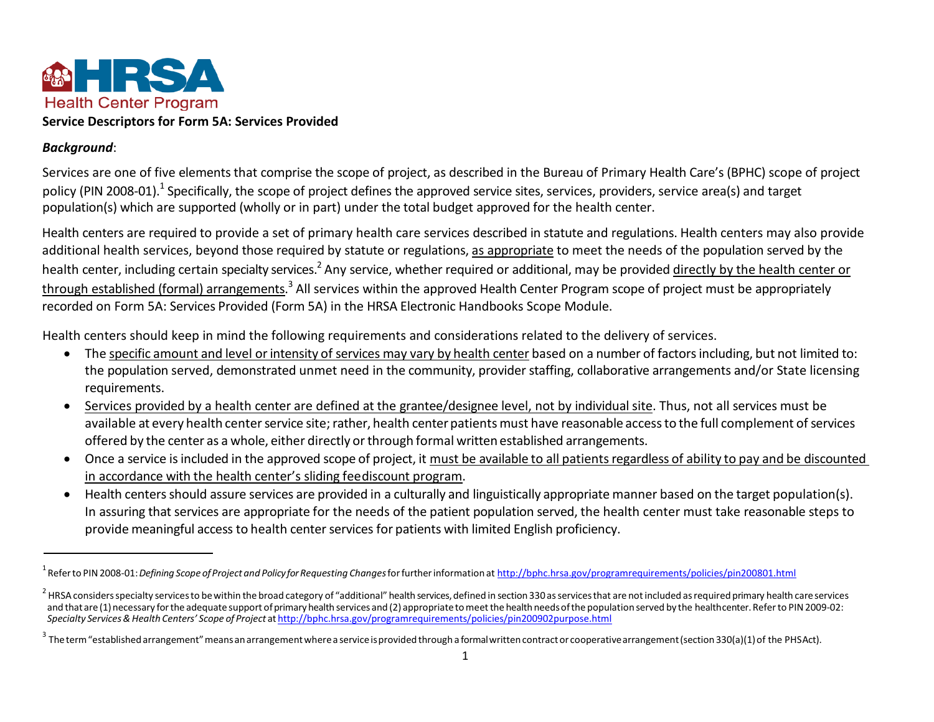

### *Background*:

Services are one of five elements that comprise the scope of project, as described in the Bureau of Primary Health Care's (BPHC) scope of project policy (PIN 2008-01).<sup>1</sup> Specifically, the scope of project defines the approved service sites, services, providers, service area(s) and target population(s) which are supported (wholly or in part) under the total budget approved for the health center.

Health centers are required to provide a set of primary health care services described in statute and regulations. Health centers may also provide additional health services, beyond those required by statute or regulations, as appropriate to meet the needs of the population served by the health center, including certain specialty services.<sup>2</sup> Any service, whether required or additional, may be provided directly by the health center or through established (formal) arrangements.<sup>3</sup> All services within the approved Health Center Program scope of project must be appropriately recorded on Form 5A: Services Provided (Form 5A) in the HRSA Electronic Handbooks Scope Module.

Health centers should keep in mind the following requirements and considerations related to the delivery of services.

- The specific amount and level or intensity of services may vary by health center based on a number of factors including, but not limited to: the population served, demonstrated unmet need in the community, provider staffing, collaborative arrangements and/or State licensing requirements.
- Services provided by a health center are defined at the grantee/designee level, not by individual site. Thus, not all services must be available at every health center service site; rather, health center patients must have reasonable access to the full complement of services offered by the center as a whole, either directly orthrough formal written established arrangements.
- Once a service isincluded in the approved scope of project, it must be available to all patientsregardless of ability to pay and be discounted in accordance with the health center's sliding feediscount program.
- Health centersshould assure services are provided in a culturally and linguistically appropriate manner based on the target population(s). In assuring that services are appropriate for the needs of the patient population served, the health center must take reasonable steps to provide meaningful access to health center services for patients with limited English proficiency.

<sup>1</sup> Referto PIN 2008-01: *Defining Scope ofProject and Policy forRequesting Changes*forfurtherinformation a[t http://bphc.hrsa.gov/programrequirements/policies/pin200801.html](http://bphc.hrsa.gov/programrequirements/policies/pin200801.html)

<sup>&</sup>lt;sup>2</sup> HRSA considers specialty services to be within the broad category of "additional" health services, defined in section 330 as services that are not included as required primary health care services and that are (1) necessary for the adequate support of primary health services and (2) appropriate to meet the health needs of the population served by the healthcenter. Refer to PIN 2009-02: *Specialty Services & Health Centers' Scope of Project* at <http://bphc.hrsa.gov/programrequirements/policies/pin200902purpose.html>

<sup>&</sup>lt;sup>3</sup> The term "established arrangement" means an arrangement where a service is provided through a formal written contract or cooperative arrangement (section 330(a)(1) of the PHSAct).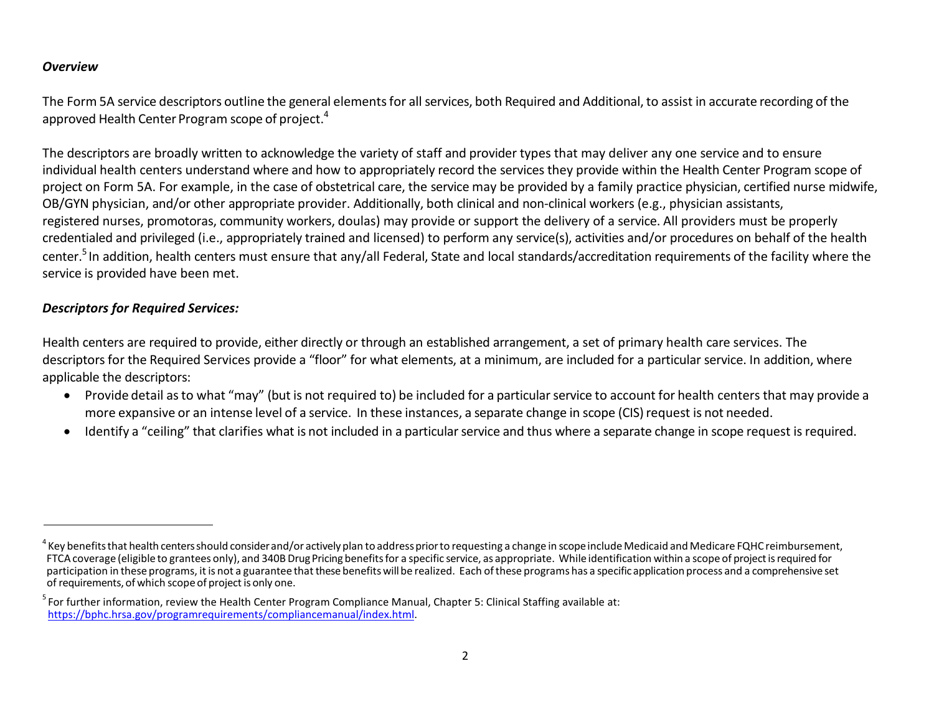#### *Overview*

The Form 5A service descriptors outline the general elementsfor allservices, both Required and Additional, to assist in accurate recording of the approved Health Center Program scope of project.<sup>4</sup>

The descriptors are broadly written to acknowledge the variety of staff and provider types that may deliver any one service and to ensure individual health centers understand where and how to appropriately record the services they provide within the Health Center Program scope of project on Form 5A. For example, in the case of obstetrical care, the service may be provided by a family practice physician, certified nurse midwife, OB/GYN physician, and/or other appropriate provider. Additionally, both clinical and non-clinical workers (e.g., physician assistants, registered nurses, promotoras, community workers, doulas) may provide or support the delivery of a service. All providers must be properly credentialed and privileged (i.e., appropriately trained and licensed) to perform any service(s), activities and/or procedures on behalf of the health center.<sup>5</sup> In addition, health centers must ensure that any/all Federal, State and local standards/accreditation requirements of the facility where the service is provided have been met.

# *Descriptors for Required Services:*

Health centers are required to provide, either directly or through an established arrangement, a set of primary health care services. The descriptors for the Required Services provide a "floor" for what elements, at a minimum, are included for a particular service. In addition, where applicable the descriptors:

- Provide detail as to what "may" (but is not required to) be included for a particular service to account for health centers that may provide a more expansive or an intense level of a service. In these instances, a separate change in scope (CIS) request is not needed.
- Identify a "ceiling" that clarifies what is not included in a particular service and thus where a separate change in scope request is required.

 $^4$  Kev benefits that health centers should consider and/or actively plan to address prior to requesting a change in scope include Medicaid and Medicare FQHC reimbursement, FTCA coverage (eligible to grantees only), and 340B Drug Pricing benefits for a specific service, as appropriate. While identification within a scope of project is required for participation in these programs, it is not a guarantee that these benefits will be realized. Each of these programs has a specific application process and a comprehensive set of requirements, of which scope of project is only one.

 $<sup>5</sup>$  For further information, review the Health Center Program Compliance Manual, Chapter 5: Clinical Staffing available at:</sup> [https://bphc.hrsa.gov/programrequirements/compliancemanual/index.html.](https://bphc.hrsa.gov/programrequirements/compliancemanual/index.html)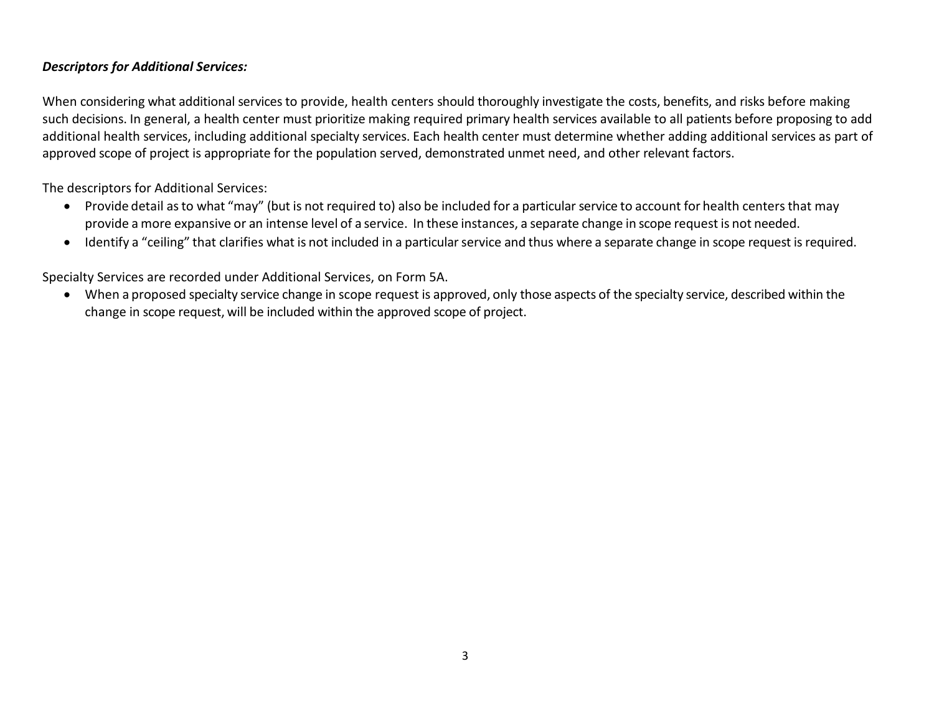## *Descriptors for Additional Services:*

When considering what additional services to provide, health centers should thoroughly investigate the costs, benefits, and risks before making such decisions. In general, a health center must prioritize making required primary health services available to all patients before proposing to add additional health services, including additional specialty services. Each health center must determine whether adding additional services as part of approved scope of project is appropriate for the population served, demonstrated unmet need, and other relevant factors.

The descriptors for Additional Services:

- Provide detail asto what "may" (but is not required to) also be included for a particular service to account for health centers that may provide a more expansive or an intense level of a service. In these instances, a separate change in scope request is not needed.
- Identify a "ceiling" that clarifies what is not included in a particular service and thus where a separate change in scope request is required.

Specialty Services are recorded under Additional Services, on Form 5A.

• When a proposed specialty service change in scope request is approved, only those aspects of the specialty service, described within the change in scope request, will be included within the approved scope of project.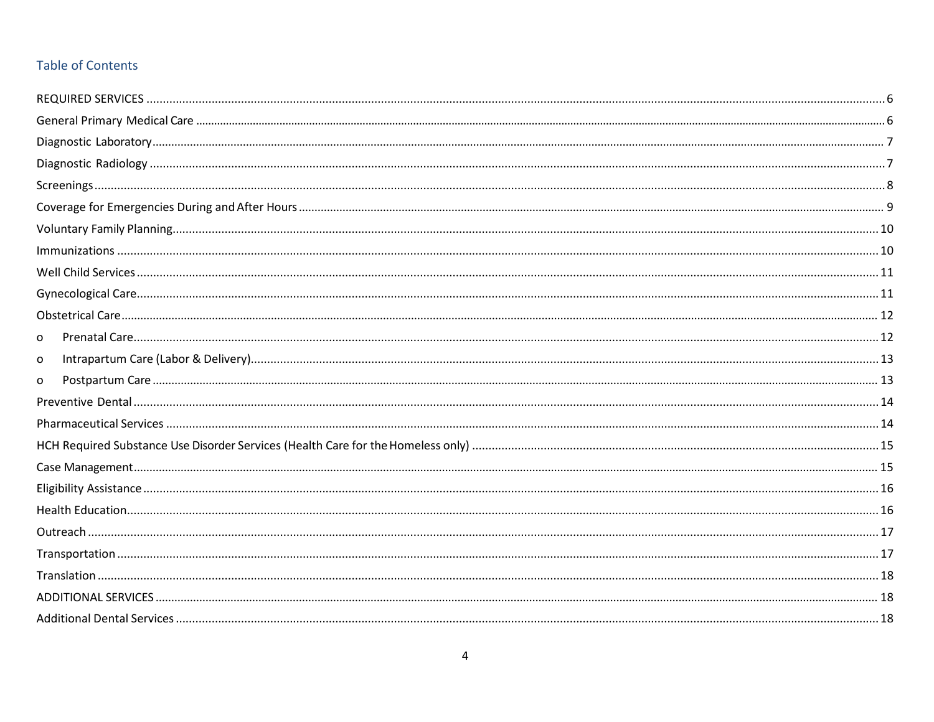# **Table of Contents**

| 0 |  |
|---|--|
| o |  |
| O |  |
|   |  |
|   |  |
|   |  |
|   |  |
|   |  |
|   |  |
|   |  |
|   |  |
|   |  |
|   |  |
|   |  |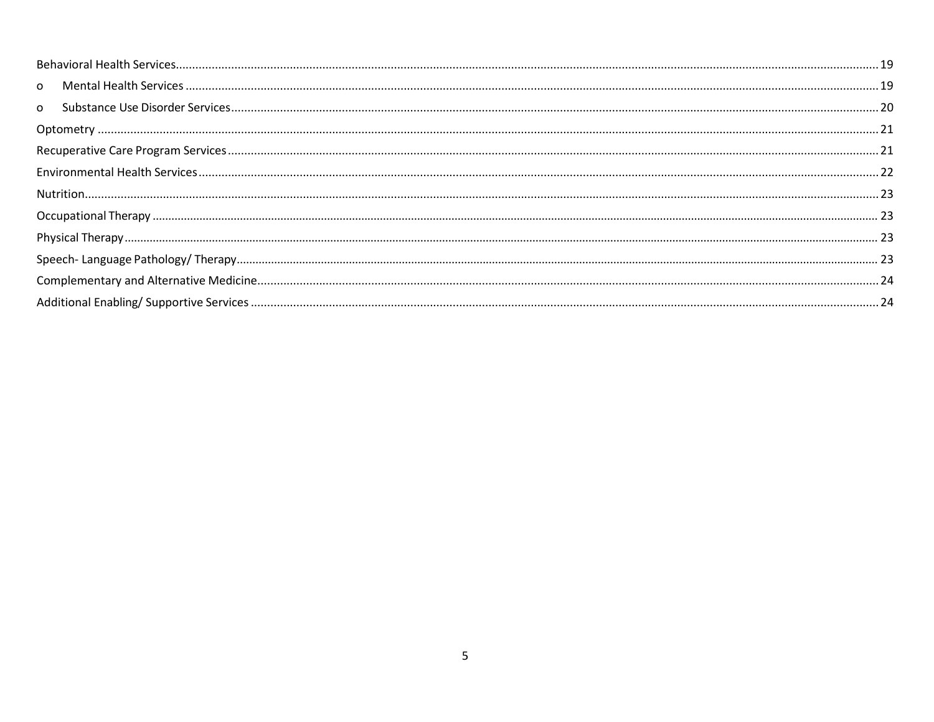| $\Omega$ |  |
|----------|--|
| $\Omega$ |  |
|          |  |
|          |  |
|          |  |
|          |  |
|          |  |
|          |  |
|          |  |
|          |  |
|          |  |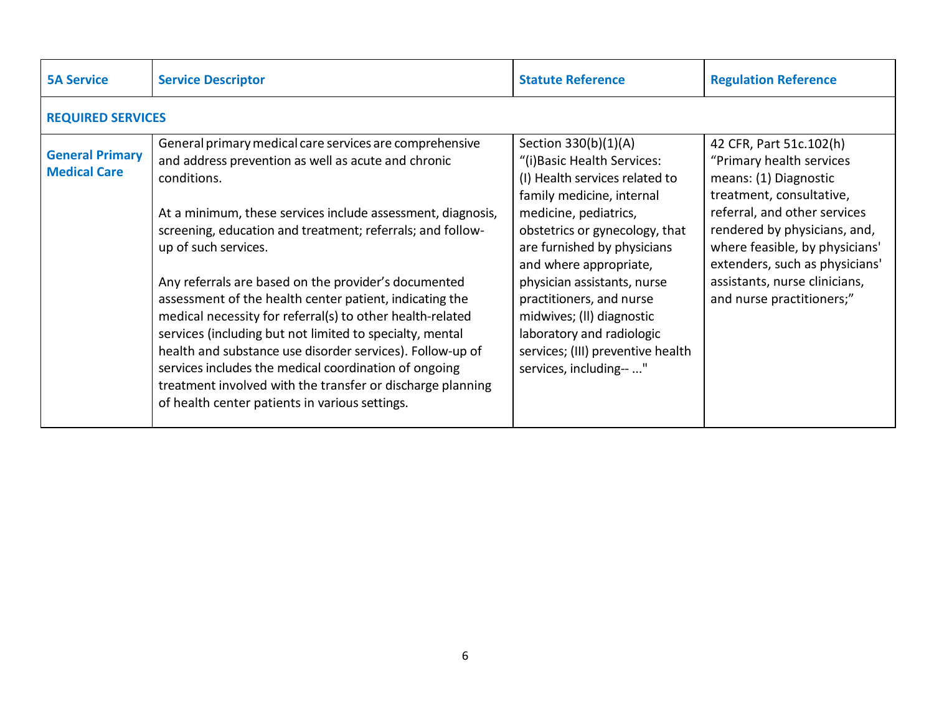<span id="page-5-1"></span><span id="page-5-0"></span>

| <b>5A Service</b>                             | <b>Service Descriptor</b>                                                                                                                                                                                                                                                                                                                                                                                                                                                                                                                                                                                                                                                                                                                                            | <b>Statute Reference</b>                                                                                                                                                                                                                                                                                                                                                                                                    | <b>Regulation Reference</b>                                                                                                                                                                                                                                                                                 |
|-----------------------------------------------|----------------------------------------------------------------------------------------------------------------------------------------------------------------------------------------------------------------------------------------------------------------------------------------------------------------------------------------------------------------------------------------------------------------------------------------------------------------------------------------------------------------------------------------------------------------------------------------------------------------------------------------------------------------------------------------------------------------------------------------------------------------------|-----------------------------------------------------------------------------------------------------------------------------------------------------------------------------------------------------------------------------------------------------------------------------------------------------------------------------------------------------------------------------------------------------------------------------|-------------------------------------------------------------------------------------------------------------------------------------------------------------------------------------------------------------------------------------------------------------------------------------------------------------|
| <b>REQUIRED SERVICES</b>                      |                                                                                                                                                                                                                                                                                                                                                                                                                                                                                                                                                                                                                                                                                                                                                                      |                                                                                                                                                                                                                                                                                                                                                                                                                             |                                                                                                                                                                                                                                                                                                             |
| <b>General Primary</b><br><b>Medical Care</b> | General primary medical care services are comprehensive<br>and address prevention as well as acute and chronic<br>conditions.<br>At a minimum, these services include assessment, diagnosis,<br>screening, education and treatment; referrals; and follow-<br>up of such services.<br>Any referrals are based on the provider's documented<br>assessment of the health center patient, indicating the<br>medical necessity for referral(s) to other health-related<br>services (including but not limited to specialty, mental<br>health and substance use disorder services). Follow-up of<br>services includes the medical coordination of ongoing<br>treatment involved with the transfer or discharge planning<br>of health center patients in various settings. | Section 330(b)(1)(A)<br>"(i) Basic Health Services:<br>(I) Health services related to<br>family medicine, internal<br>medicine, pediatrics,<br>obstetrics or gynecology, that<br>are furnished by physicians<br>and where appropriate,<br>physician assistants, nurse<br>practitioners, and nurse<br>midwives; (II) diagnostic<br>laboratory and radiologic<br>services; (III) preventive health<br>services, including-- " | 42 CFR, Part 51c.102(h)<br>"Primary health services"<br>means: (1) Diagnostic<br>treatment, consultative,<br>referral, and other services<br>rendered by physicians, and,<br>where feasible, by physicians'<br>extenders, such as physicians'<br>assistants, nurse clinicians,<br>and nurse practitioners;" |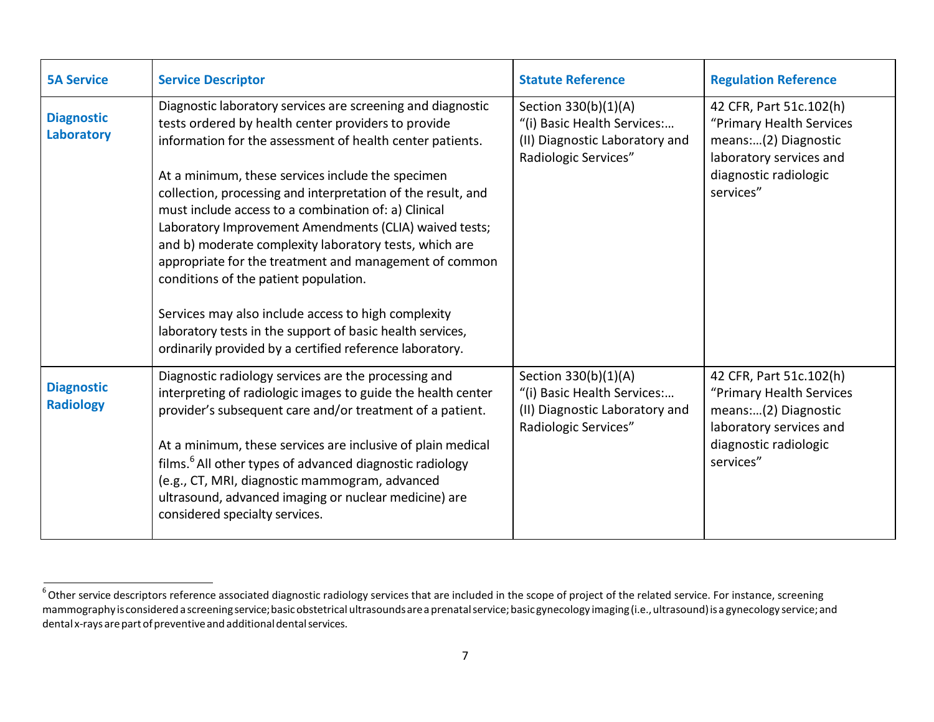<span id="page-6-0"></span>

| <b>5A Service</b>                     | <b>Service Descriptor</b>                                                                                                                                                                                                                                                                                                                                                                                                                                                                                                                                                                                                                                                                                                                                           | <b>Statute Reference</b>                                                                                      | <b>Regulation Reference</b>                                                                                                                  |
|---------------------------------------|---------------------------------------------------------------------------------------------------------------------------------------------------------------------------------------------------------------------------------------------------------------------------------------------------------------------------------------------------------------------------------------------------------------------------------------------------------------------------------------------------------------------------------------------------------------------------------------------------------------------------------------------------------------------------------------------------------------------------------------------------------------------|---------------------------------------------------------------------------------------------------------------|----------------------------------------------------------------------------------------------------------------------------------------------|
| <b>Diagnostic</b><br>Laboratory       | Diagnostic laboratory services are screening and diagnostic<br>tests ordered by health center providers to provide<br>information for the assessment of health center patients.<br>At a minimum, these services include the specimen<br>collection, processing and interpretation of the result, and<br>must include access to a combination of: a) Clinical<br>Laboratory Improvement Amendments (CLIA) waived tests;<br>and b) moderate complexity laboratory tests, which are<br>appropriate for the treatment and management of common<br>conditions of the patient population.<br>Services may also include access to high complexity<br>laboratory tests in the support of basic health services,<br>ordinarily provided by a certified reference laboratory. | Section 330(b)(1)(A)<br>"(i) Basic Health Services:<br>(II) Diagnostic Laboratory and<br>Radiologic Services" | 42 CFR, Part 51c.102(h)<br>"Primary Health Services<br>means:(2) Diagnostic<br>laboratory services and<br>diagnostic radiologic<br>services" |
| <b>Diagnostic</b><br><b>Radiology</b> | Diagnostic radiology services are the processing and<br>interpreting of radiologic images to guide the health center<br>provider's subsequent care and/or treatment of a patient.<br>At a minimum, these services are inclusive of plain medical<br>films. <sup>6</sup> All other types of advanced diagnostic radiology<br>(e.g., CT, MRI, diagnostic mammogram, advanced<br>ultrasound, advanced imaging or nuclear medicine) are<br>considered specialty services.                                                                                                                                                                                                                                                                                               | Section 330(b)(1)(A)<br>"(i) Basic Health Services:<br>(II) Diagnostic Laboratory and<br>Radiologic Services" | 42 CFR, Part 51c.102(h)<br>"Primary Health Services<br>means:(2) Diagnostic<br>laboratory services and<br>diagnostic radiologic<br>services" |

<span id="page-6-1"></span> $^6$  Other service descriptors reference associated diagnostic radiology services that are included in the scope of project of the related service. For instance, screening mammography isconsidered a screeningservice;basicobstetrical ultrasoundsare a prenatalservice;basicgynecology imaging(i.e.,ultrasound)is a gynecology service;and dental x-rays are part of preventive and additional dental services.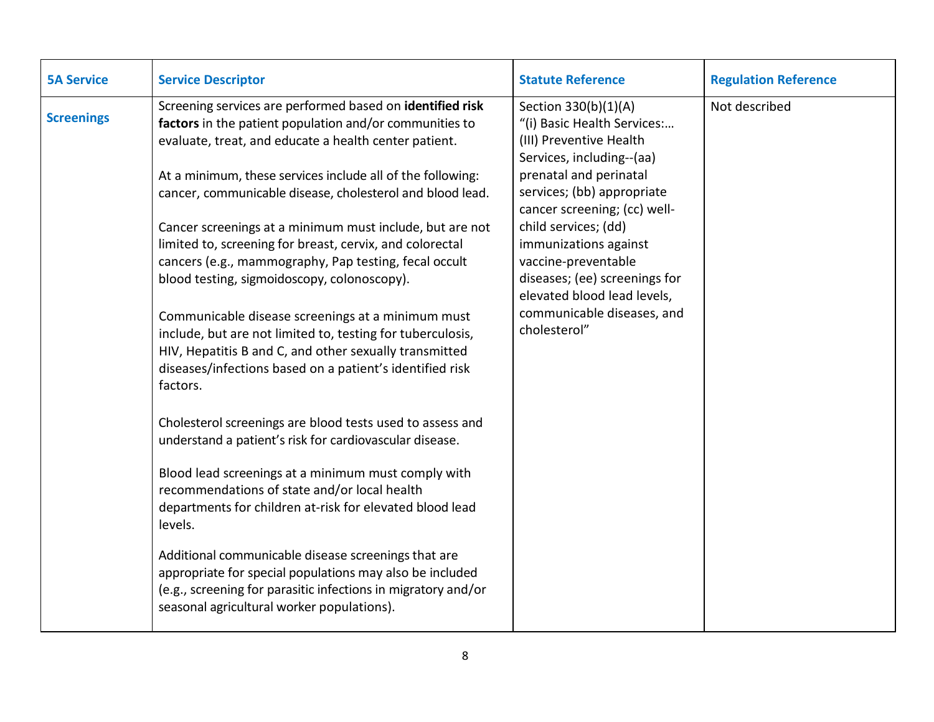<span id="page-7-0"></span>

| <b>5A Service</b> | <b>Service Descriptor</b>                                                                                                                                                                                                                                                                                                                                                                                                                                                                                                                                                                                                                                                                                                                                                                                                                                                                                                                                                                                                                                                                                                                                                                                                                                                                                                             | <b>Statute Reference</b>                                                                                                                                                                                                                                                                                                                                                                  | <b>Regulation Reference</b> |
|-------------------|---------------------------------------------------------------------------------------------------------------------------------------------------------------------------------------------------------------------------------------------------------------------------------------------------------------------------------------------------------------------------------------------------------------------------------------------------------------------------------------------------------------------------------------------------------------------------------------------------------------------------------------------------------------------------------------------------------------------------------------------------------------------------------------------------------------------------------------------------------------------------------------------------------------------------------------------------------------------------------------------------------------------------------------------------------------------------------------------------------------------------------------------------------------------------------------------------------------------------------------------------------------------------------------------------------------------------------------|-------------------------------------------------------------------------------------------------------------------------------------------------------------------------------------------------------------------------------------------------------------------------------------------------------------------------------------------------------------------------------------------|-----------------------------|
| <b>Screenings</b> | Screening services are performed based on identified risk<br>factors in the patient population and/or communities to<br>evaluate, treat, and educate a health center patient.<br>At a minimum, these services include all of the following:<br>cancer, communicable disease, cholesterol and blood lead.<br>Cancer screenings at a minimum must include, but are not<br>limited to, screening for breast, cervix, and colorectal<br>cancers (e.g., mammography, Pap testing, fecal occult<br>blood testing, sigmoidoscopy, colonoscopy).<br>Communicable disease screenings at a minimum must<br>include, but are not limited to, testing for tuberculosis,<br>HIV, Hepatitis B and C, and other sexually transmitted<br>diseases/infections based on a patient's identified risk<br>factors.<br>Cholesterol screenings are blood tests used to assess and<br>understand a patient's risk for cardiovascular disease.<br>Blood lead screenings at a minimum must comply with<br>recommendations of state and/or local health<br>departments for children at-risk for elevated blood lead<br>levels.<br>Additional communicable disease screenings that are<br>appropriate for special populations may also be included<br>(e.g., screening for parasitic infections in migratory and/or<br>seasonal agricultural worker populations). | Section 330(b)(1)(A)<br>"(i) Basic Health Services:<br>(III) Preventive Health<br>Services, including--(aa)<br>prenatal and perinatal<br>services; (bb) appropriate<br>cancer screening; (cc) well-<br>child services; (dd)<br>immunizations against<br>vaccine-preventable<br>diseases; (ee) screenings for<br>elevated blood lead levels,<br>communicable diseases, and<br>cholesterol" | Not described               |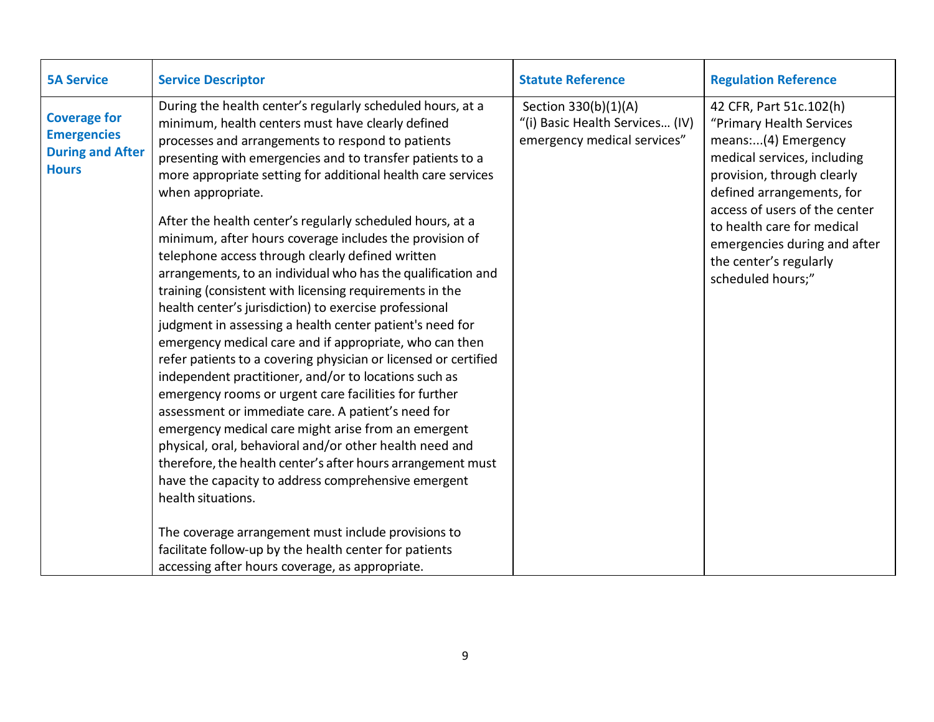<span id="page-8-0"></span>

| <b>5A Service</b>                                                                    | <b>Service Descriptor</b>                                                                                                                                                                                                                                                                                                                                                                                                                                                                                                                                                                                                                                                                                                                                                                                                                                                                                                                                                                                                                                                                                                                                                                                                                                                                                                                                                                                                                                                                   | <b>Statute Reference</b>                                                               | <b>Regulation Reference</b>                                                                                                                                                                                                                                                                                        |
|--------------------------------------------------------------------------------------|---------------------------------------------------------------------------------------------------------------------------------------------------------------------------------------------------------------------------------------------------------------------------------------------------------------------------------------------------------------------------------------------------------------------------------------------------------------------------------------------------------------------------------------------------------------------------------------------------------------------------------------------------------------------------------------------------------------------------------------------------------------------------------------------------------------------------------------------------------------------------------------------------------------------------------------------------------------------------------------------------------------------------------------------------------------------------------------------------------------------------------------------------------------------------------------------------------------------------------------------------------------------------------------------------------------------------------------------------------------------------------------------------------------------------------------------------------------------------------------------|----------------------------------------------------------------------------------------|--------------------------------------------------------------------------------------------------------------------------------------------------------------------------------------------------------------------------------------------------------------------------------------------------------------------|
| <b>Coverage for</b><br><b>Emergencies</b><br><b>During and After</b><br><b>Hours</b> | During the health center's regularly scheduled hours, at a<br>minimum, health centers must have clearly defined<br>processes and arrangements to respond to patients<br>presenting with emergencies and to transfer patients to a<br>more appropriate setting for additional health care services<br>when appropriate.<br>After the health center's regularly scheduled hours, at a<br>minimum, after hours coverage includes the provision of<br>telephone access through clearly defined written<br>arrangements, to an individual who has the qualification and<br>training (consistent with licensing requirements in the<br>health center's jurisdiction) to exercise professional<br>judgment in assessing a health center patient's need for<br>emergency medical care and if appropriate, who can then<br>refer patients to a covering physician or licensed or certified<br>independent practitioner, and/or to locations such as<br>emergency rooms or urgent care facilities for further<br>assessment or immediate care. A patient's need for<br>emergency medical care might arise from an emergent<br>physical, oral, behavioral and/or other health need and<br>therefore, the health center's after hours arrangement must<br>have the capacity to address comprehensive emergent<br>health situations.<br>The coverage arrangement must include provisions to<br>facilitate follow-up by the health center for patients<br>accessing after hours coverage, as appropriate. | Section 330(b)(1)(A)<br>"(i) Basic Health Services (IV)<br>emergency medical services" | 42 CFR, Part 51c.102(h)<br>"Primary Health Services<br>means:(4) Emergency<br>medical services, including<br>provision, through clearly<br>defined arrangements, for<br>access of users of the center<br>to health care for medical<br>emergencies during and after<br>the center's regularly<br>scheduled hours;" |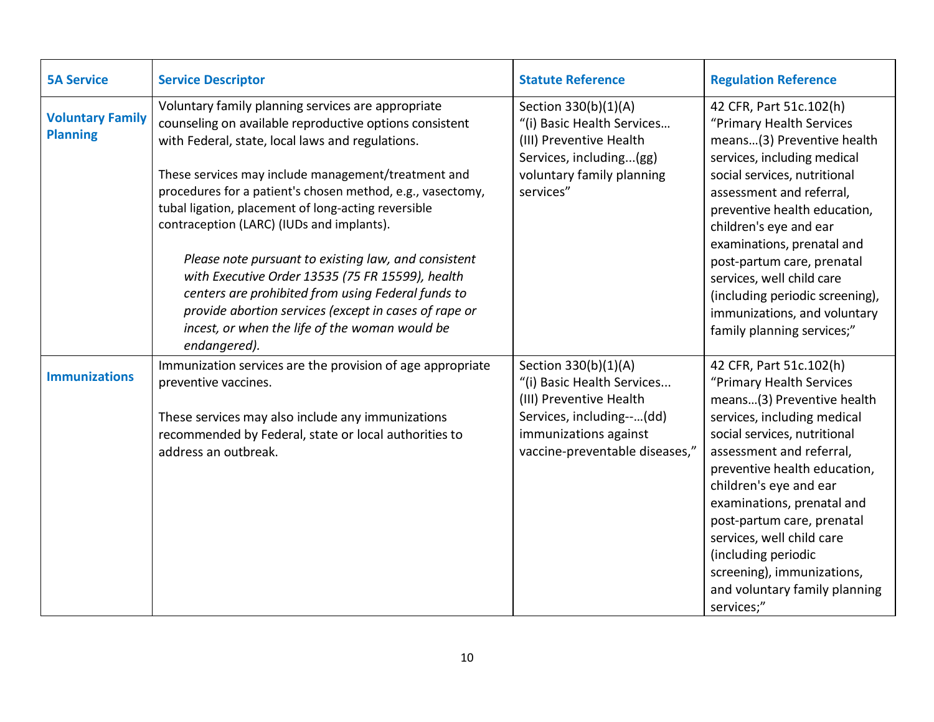<span id="page-9-1"></span><span id="page-9-0"></span>

| <b>5A Service</b>                          | <b>Service Descriptor</b>                                                                                                                                                                                                                                                                                                                                                                                                                                                                                                                                                                                                                                                               | <b>Statute Reference</b>                                                                                                                                              | <b>Regulation Reference</b>                                                                                                                                                                                                                                                                                                                                                                                                         |
|--------------------------------------------|-----------------------------------------------------------------------------------------------------------------------------------------------------------------------------------------------------------------------------------------------------------------------------------------------------------------------------------------------------------------------------------------------------------------------------------------------------------------------------------------------------------------------------------------------------------------------------------------------------------------------------------------------------------------------------------------|-----------------------------------------------------------------------------------------------------------------------------------------------------------------------|-------------------------------------------------------------------------------------------------------------------------------------------------------------------------------------------------------------------------------------------------------------------------------------------------------------------------------------------------------------------------------------------------------------------------------------|
| <b>Voluntary Family</b><br><b>Planning</b> | Voluntary family planning services are appropriate<br>counseling on available reproductive options consistent<br>with Federal, state, local laws and regulations.<br>These services may include management/treatment and<br>procedures for a patient's chosen method, e.g., vasectomy,<br>tubal ligation, placement of long-acting reversible<br>contraception (LARC) (IUDs and implants).<br>Please note pursuant to existing law, and consistent<br>with Executive Order 13535 (75 FR 15599), health<br>centers are prohibited from using Federal funds to<br>provide abortion services (except in cases of rape or<br>incest, or when the life of the woman would be<br>endangered). | Section 330(b)(1)(A)<br>"(i) Basic Health Services<br>(III) Preventive Health<br>Services, including(gg)<br>voluntary family planning<br>services"                    | 42 CFR, Part 51c.102(h)<br>"Primary Health Services<br>means(3) Preventive health<br>services, including medical<br>social services, nutritional<br>assessment and referral,<br>preventive health education,<br>children's eye and ear<br>examinations, prenatal and<br>post-partum care, prenatal<br>services, well child care<br>(including periodic screening),<br>immunizations, and voluntary<br>family planning services;"    |
| <b>Immunizations</b>                       | Immunization services are the provision of age appropriate<br>preventive vaccines.<br>These services may also include any immunizations<br>recommended by Federal, state or local authorities to<br>address an outbreak.                                                                                                                                                                                                                                                                                                                                                                                                                                                                | Section 330(b)(1)(A)<br>"(i) Basic Health Services<br>(III) Preventive Health<br>Services, including--(dd)<br>immunizations against<br>vaccine-preventable diseases," | 42 CFR, Part 51c.102(h)<br>"Primary Health Services<br>means(3) Preventive health<br>services, including medical<br>social services, nutritional<br>assessment and referral,<br>preventive health education,<br>children's eye and ear<br>examinations, prenatal and<br>post-partum care, prenatal<br>services, well child care<br>(including periodic<br>screening), immunizations,<br>and voluntary family planning<br>services;" |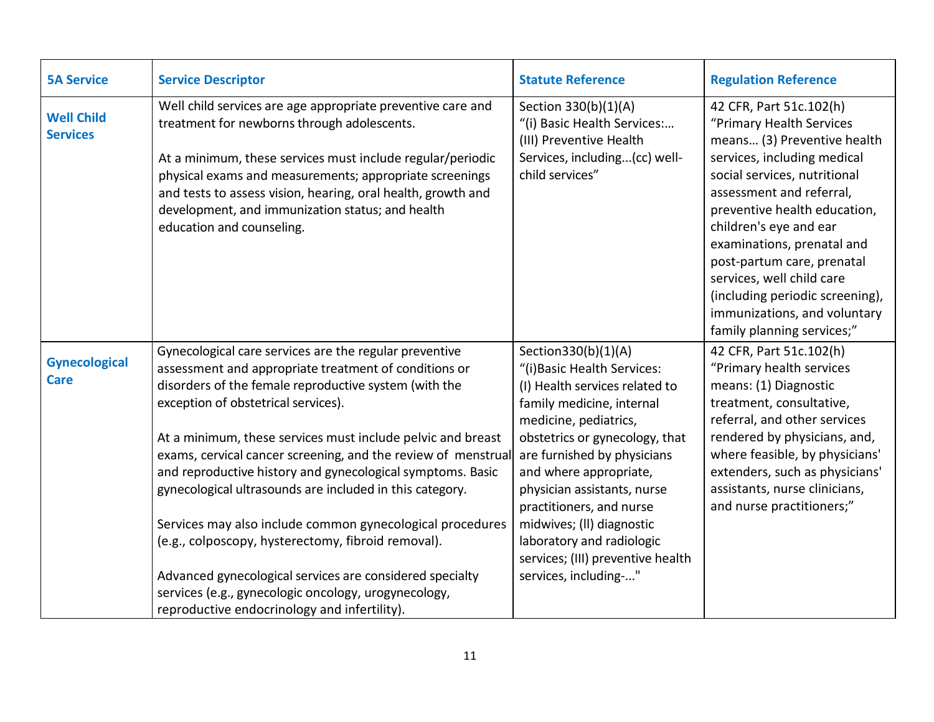<span id="page-10-1"></span><span id="page-10-0"></span>

| <b>5A Service</b>                    | <b>Service Descriptor</b>                                                                                                                                                                                                                                                                                                                                                                                                                                                                                                                                                                                                                                                                                                                                        | <b>Statute Reference</b>                                                                                                                                                                                                                                                                                                                                                                                                 | <b>Regulation Reference</b>                                                                                                                                                                                                                                                                                                                                                                                                       |
|--------------------------------------|------------------------------------------------------------------------------------------------------------------------------------------------------------------------------------------------------------------------------------------------------------------------------------------------------------------------------------------------------------------------------------------------------------------------------------------------------------------------------------------------------------------------------------------------------------------------------------------------------------------------------------------------------------------------------------------------------------------------------------------------------------------|--------------------------------------------------------------------------------------------------------------------------------------------------------------------------------------------------------------------------------------------------------------------------------------------------------------------------------------------------------------------------------------------------------------------------|-----------------------------------------------------------------------------------------------------------------------------------------------------------------------------------------------------------------------------------------------------------------------------------------------------------------------------------------------------------------------------------------------------------------------------------|
| <b>Well Child</b><br><b>Services</b> | Well child services are age appropriate preventive care and<br>treatment for newborns through adolescents.<br>At a minimum, these services must include regular/periodic<br>physical exams and measurements; appropriate screenings<br>and tests to assess vision, hearing, oral health, growth and<br>development, and immunization status; and health<br>education and counseling.                                                                                                                                                                                                                                                                                                                                                                             | Section 330(b)(1)(A)<br>"(i) Basic Health Services:<br>(III) Preventive Health<br>Services, including(cc) well-<br>child services"                                                                                                                                                                                                                                                                                       | 42 CFR, Part 51c.102(h)<br>"Primary Health Services<br>means (3) Preventive health<br>services, including medical<br>social services, nutritional<br>assessment and referral,<br>preventive health education,<br>children's eye and ear<br>examinations, prenatal and<br>post-partum care, prenatal<br>services, well child care<br>(including periodic screening),<br>immunizations, and voluntary<br>family planning services;" |
| <b>Gynecological</b><br><b>Care</b>  | Gynecological care services are the regular preventive<br>assessment and appropriate treatment of conditions or<br>disorders of the female reproductive system (with the<br>exception of obstetrical services).<br>At a minimum, these services must include pelvic and breast<br>exams, cervical cancer screening, and the review of menstrual<br>and reproductive history and gynecological symptoms. Basic<br>gynecological ultrasounds are included in this category.<br>Services may also include common gynecological procedures<br>(e.g., colposcopy, hysterectomy, fibroid removal).<br>Advanced gynecological services are considered specialty<br>services (e.g., gynecologic oncology, urogynecology,<br>reproductive endocrinology and infertility). | Section330(b)(1)(A)<br>"(i) Basic Health Services:<br>(I) Health services related to<br>family medicine, internal<br>medicine, pediatrics,<br>obstetrics or gynecology, that<br>are furnished by physicians<br>and where appropriate,<br>physician assistants, nurse<br>practitioners, and nurse<br>midwives; (II) diagnostic<br>laboratory and radiologic<br>services; (III) preventive health<br>services, including-" | 42 CFR, Part 51c.102(h)<br>"Primary health services<br>means: (1) Diagnostic<br>treatment, consultative,<br>referral, and other services<br>rendered by physicians, and,<br>where feasible, by physicians'<br>extenders, such as physicians'<br>assistants, nurse clinicians,<br>and nurse practitioners;"                                                                                                                        |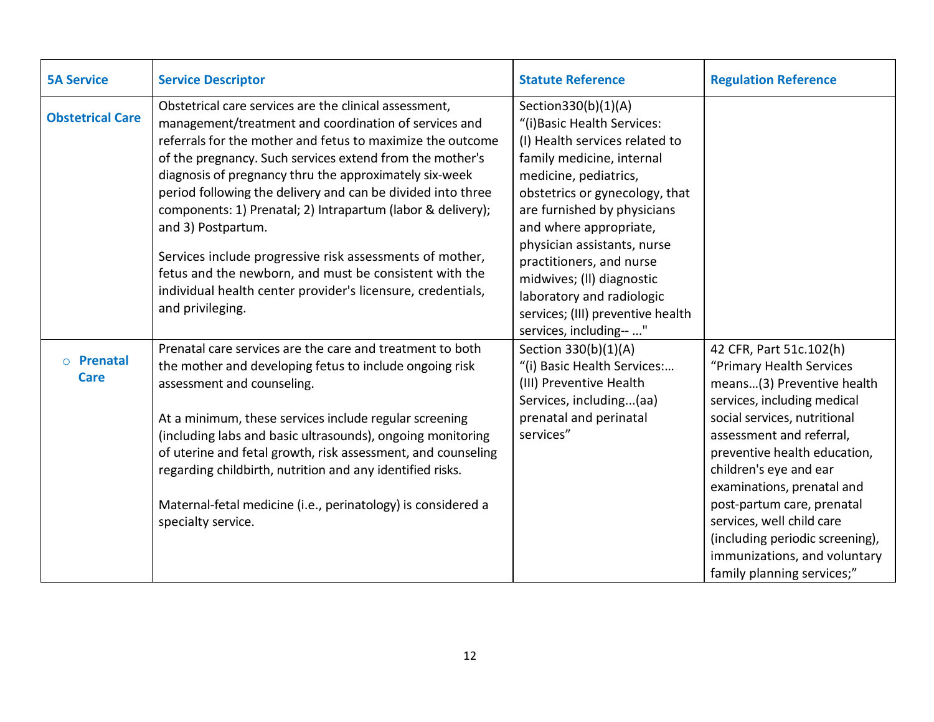<span id="page-11-1"></span><span id="page-11-0"></span>

| <b>5A Service</b>               | <b>Service Descriptor</b>                                                                                                                                                                                                                                                                                                                                                                                                                                                                                                                                                                                                                                        | <b>Statute Reference</b>                                                                                                                                                                                                                                                                                                                                                                                                   | <b>Regulation Reference</b>                                                                                                                                                                                                                                                                                                                                                                                                      |
|---------------------------------|------------------------------------------------------------------------------------------------------------------------------------------------------------------------------------------------------------------------------------------------------------------------------------------------------------------------------------------------------------------------------------------------------------------------------------------------------------------------------------------------------------------------------------------------------------------------------------------------------------------------------------------------------------------|----------------------------------------------------------------------------------------------------------------------------------------------------------------------------------------------------------------------------------------------------------------------------------------------------------------------------------------------------------------------------------------------------------------------------|----------------------------------------------------------------------------------------------------------------------------------------------------------------------------------------------------------------------------------------------------------------------------------------------------------------------------------------------------------------------------------------------------------------------------------|
| <b>Obstetrical Care</b>         | Obstetrical care services are the clinical assessment,<br>management/treatment and coordination of services and<br>referrals for the mother and fetus to maximize the outcome<br>of the pregnancy. Such services extend from the mother's<br>diagnosis of pregnancy thru the approximately six-week<br>period following the delivery and can be divided into three<br>components: 1) Prenatal; 2) Intrapartum (labor & delivery);<br>and 3) Postpartum.<br>Services include progressive risk assessments of mother,<br>fetus and the newborn, and must be consistent with the<br>individual health center provider's licensure, credentials,<br>and privileging. | Section330(b)(1)(A)<br>"(i) Basic Health Services:<br>(I) Health services related to<br>family medicine, internal<br>medicine, pediatrics,<br>obstetrics or gynecology, that<br>are furnished by physicians<br>and where appropriate,<br>physician assistants, nurse<br>practitioners, and nurse<br>midwives; (II) diagnostic<br>laboratory and radiologic<br>services; (III) preventive health<br>services, including-- " |                                                                                                                                                                                                                                                                                                                                                                                                                                  |
| $\circ$ Prenatal<br><b>Care</b> | Prenatal care services are the care and treatment to both<br>the mother and developing fetus to include ongoing risk<br>assessment and counseling.<br>At a minimum, these services include regular screening<br>(including labs and basic ultrasounds), ongoing monitoring<br>of uterine and fetal growth, risk assessment, and counseling<br>regarding childbirth, nutrition and any identified risks.<br>Maternal-fetal medicine (i.e., perinatology) is considered a<br>specialty service.                                                                                                                                                                    | Section 330(b)(1)(A)<br>"(i) Basic Health Services:<br>(III) Preventive Health<br>Services, including(aa)<br>prenatal and perinatal<br>services"                                                                                                                                                                                                                                                                           | 42 CFR, Part 51c.102(h)<br>"Primary Health Services<br>means(3) Preventive health<br>services, including medical<br>social services, nutritional<br>assessment and referral,<br>preventive health education,<br>children's eye and ear<br>examinations, prenatal and<br>post-partum care, prenatal<br>services, well child care<br>(including periodic screening),<br>immunizations, and voluntary<br>family planning services;" |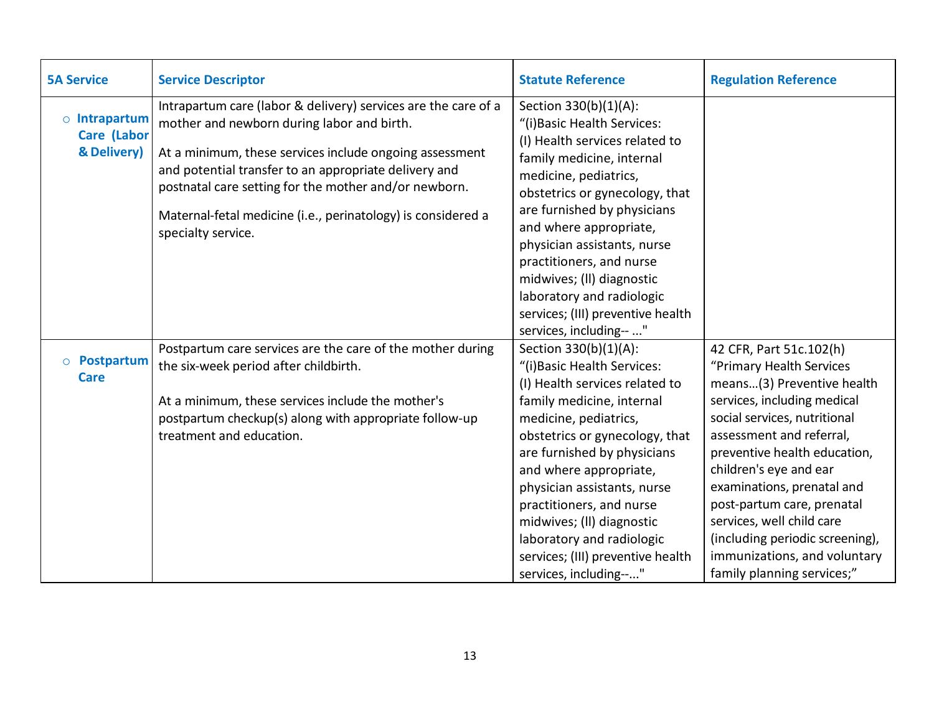<span id="page-12-1"></span><span id="page-12-0"></span>

| <b>5A Service</b>                                        | <b>Service Descriptor</b>                                                                                                                                                                                                                                                                                                                                                       | <b>Statute Reference</b>                                                                                                                                                                                                                                                                                                                                                                                                     | <b>Regulation Reference</b>                                                                                                                                                                                                                                                                                                                                                                                                      |
|----------------------------------------------------------|---------------------------------------------------------------------------------------------------------------------------------------------------------------------------------------------------------------------------------------------------------------------------------------------------------------------------------------------------------------------------------|------------------------------------------------------------------------------------------------------------------------------------------------------------------------------------------------------------------------------------------------------------------------------------------------------------------------------------------------------------------------------------------------------------------------------|----------------------------------------------------------------------------------------------------------------------------------------------------------------------------------------------------------------------------------------------------------------------------------------------------------------------------------------------------------------------------------------------------------------------------------|
| $\circ$ Intrapartum<br><b>Care (Labor</b><br>& Delivery) | Intrapartum care (labor & delivery) services are the care of a<br>mother and newborn during labor and birth.<br>At a minimum, these services include ongoing assessment<br>and potential transfer to an appropriate delivery and<br>postnatal care setting for the mother and/or newborn.<br>Maternal-fetal medicine (i.e., perinatology) is considered a<br>specialty service. | Section 330(b)(1)(A):<br>"(i) Basic Health Services:<br>(I) Health services related to<br>family medicine, internal<br>medicine, pediatrics,<br>obstetrics or gynecology, that<br>are furnished by physicians<br>and where appropriate,<br>physician assistants, nurse<br>practitioners, and nurse<br>midwives; (II) diagnostic<br>laboratory and radiologic<br>services; (III) preventive health<br>services, including-- " |                                                                                                                                                                                                                                                                                                                                                                                                                                  |
| o <b>Postpartum</b><br><b>Care</b>                       | Postpartum care services are the care of the mother during<br>the six-week period after childbirth.<br>At a minimum, these services include the mother's<br>postpartum checkup(s) along with appropriate follow-up<br>treatment and education.                                                                                                                                  | Section 330(b)(1)(A):<br>"(i) Basic Health Services:<br>(I) Health services related to<br>family medicine, internal<br>medicine, pediatrics,<br>obstetrics or gynecology, that<br>are furnished by physicians<br>and where appropriate,<br>physician assistants, nurse<br>practitioners, and nurse<br>midwives; (II) diagnostic<br>laboratory and radiologic<br>services; (III) preventive health<br>services, including--"  | 42 CFR, Part 51c.102(h)<br>"Primary Health Services<br>means(3) Preventive health<br>services, including medical<br>social services, nutritional<br>assessment and referral,<br>preventive health education,<br>children's eye and ear<br>examinations, prenatal and<br>post-partum care, prenatal<br>services, well child care<br>(including periodic screening),<br>immunizations, and voluntary<br>family planning services;" |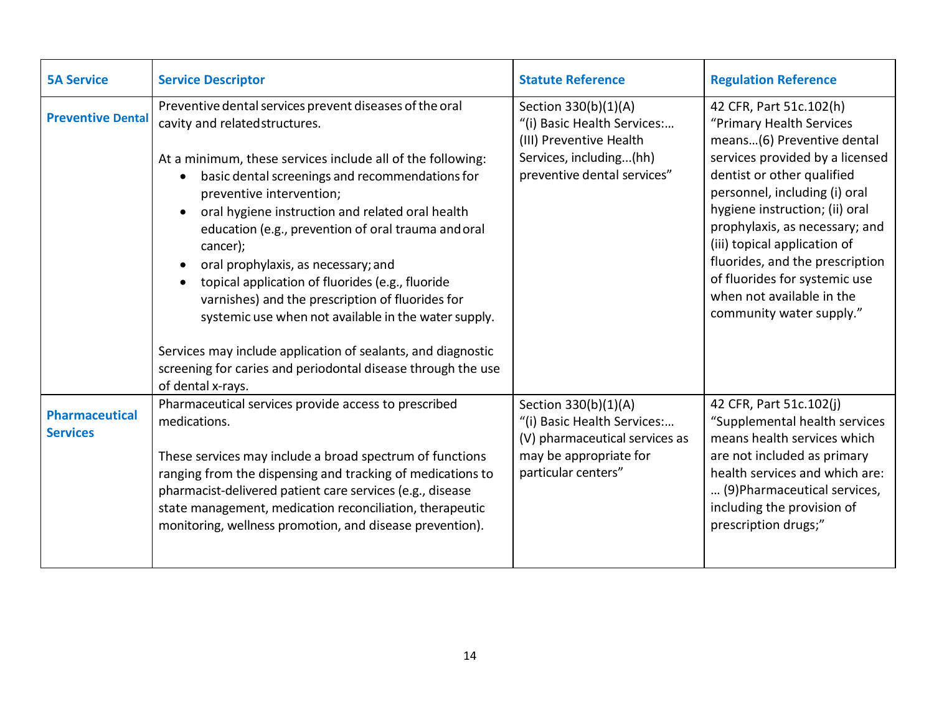<span id="page-13-1"></span><span id="page-13-0"></span>

| <b>5A Service</b>                        | <b>Service Descriptor</b>                                                                                                                                                                                                                                                                                                                                                                                                                                                                                                                                                                                                                                                                                                 | <b>Statute Reference</b>                                                                                                                 | <b>Regulation Reference</b>                                                                                                                                                                                                                                                                                                                                                                                          |
|------------------------------------------|---------------------------------------------------------------------------------------------------------------------------------------------------------------------------------------------------------------------------------------------------------------------------------------------------------------------------------------------------------------------------------------------------------------------------------------------------------------------------------------------------------------------------------------------------------------------------------------------------------------------------------------------------------------------------------------------------------------------------|------------------------------------------------------------------------------------------------------------------------------------------|----------------------------------------------------------------------------------------------------------------------------------------------------------------------------------------------------------------------------------------------------------------------------------------------------------------------------------------------------------------------------------------------------------------------|
| <b>Preventive Dental</b>                 | Preventive dental services prevent diseases of the oral<br>cavity and related structures.<br>At a minimum, these services include all of the following:<br>basic dental screenings and recommendations for<br>preventive intervention;<br>oral hygiene instruction and related oral health<br>education (e.g., prevention of oral trauma and oral<br>cancer);<br>oral prophylaxis, as necessary; and<br>topical application of fluorides (e.g., fluoride<br>varnishes) and the prescription of fluorides for<br>systemic use when not available in the water supply.<br>Services may include application of sealants, and diagnostic<br>screening for caries and periodontal disease through the use<br>of dental x-rays. | Section 330(b)(1)(A)<br>"(i) Basic Health Services:<br>(III) Preventive Health<br>Services, including(hh)<br>preventive dental services" | 42 CFR, Part 51c.102(h)<br>"Primary Health Services<br>means(6) Preventive dental<br>services provided by a licensed<br>dentist or other qualified<br>personnel, including (i) oral<br>hygiene instruction; (ii) oral<br>prophylaxis, as necessary; and<br>(iii) topical application of<br>fluorides, and the prescription<br>of fluorides for systemic use<br>when not available in the<br>community water supply." |
| <b>Pharmaceutical</b><br><b>Services</b> | Pharmaceutical services provide access to prescribed<br>medications.<br>These services may include a broad spectrum of functions<br>ranging from the dispensing and tracking of medications to<br>pharmacist-delivered patient care services (e.g., disease<br>state management, medication reconciliation, therapeutic<br>monitoring, wellness promotion, and disease prevention).                                                                                                                                                                                                                                                                                                                                       | Section 330(b)(1)(A)<br>"(i) Basic Health Services:<br>(V) pharmaceutical services as<br>may be appropriate for<br>particular centers"   | 42 CFR, Part 51c.102(j)<br>"Supplemental health services<br>means health services which<br>are not included as primary<br>health services and which are:<br>(9) Pharmaceutical services,<br>including the provision of<br>prescription drugs;"                                                                                                                                                                       |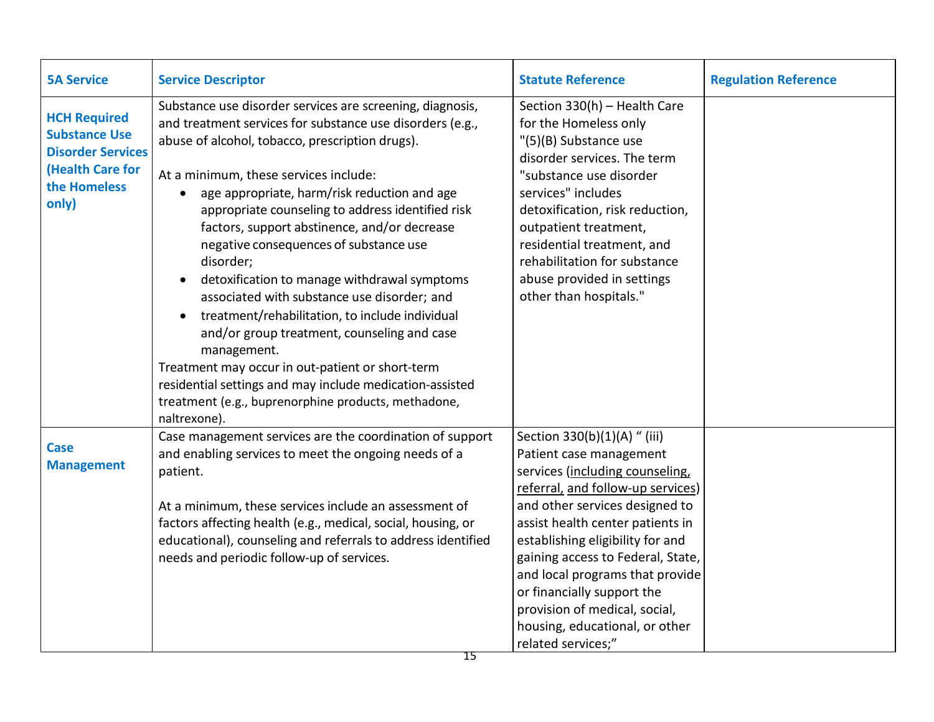<span id="page-14-1"></span><span id="page-14-0"></span>

| <b>5A Service</b>                                                                                                           | <b>Service Descriptor</b>                                                                                                                                                                                                                                                                                                                                                                                                                                                                                                                                                                                                                                                                                                                                                                                                             | <b>Statute Reference</b>                                                                                                                                                                                                                                                                                                                                                                                                                 | <b>Regulation Reference</b> |
|-----------------------------------------------------------------------------------------------------------------------------|---------------------------------------------------------------------------------------------------------------------------------------------------------------------------------------------------------------------------------------------------------------------------------------------------------------------------------------------------------------------------------------------------------------------------------------------------------------------------------------------------------------------------------------------------------------------------------------------------------------------------------------------------------------------------------------------------------------------------------------------------------------------------------------------------------------------------------------|------------------------------------------------------------------------------------------------------------------------------------------------------------------------------------------------------------------------------------------------------------------------------------------------------------------------------------------------------------------------------------------------------------------------------------------|-----------------------------|
| <b>HCH Required</b><br><b>Substance Use</b><br><b>Disorder Services</b><br><b>(Health Care for</b><br>the Homeless<br>only) | Substance use disorder services are screening, diagnosis,<br>and treatment services for substance use disorders (e.g.,<br>abuse of alcohol, tobacco, prescription drugs).<br>At a minimum, these services include:<br>age appropriate, harm/risk reduction and age<br>appropriate counseling to address identified risk<br>factors, support abstinence, and/or decrease<br>negative consequences of substance use<br>disorder;<br>detoxification to manage withdrawal symptoms<br>associated with substance use disorder; and<br>treatment/rehabilitation, to include individual<br>and/or group treatment, counseling and case<br>management.<br>Treatment may occur in out-patient or short-term<br>residential settings and may include medication-assisted<br>treatment (e.g., buprenorphine products, methadone,<br>naltrexone). | Section 330(h) - Health Care<br>for the Homeless only<br>"(5)(B) Substance use<br>disorder services. The term<br>"substance use disorder<br>services" includes<br>detoxification, risk reduction,<br>outpatient treatment,<br>residential treatment, and<br>rehabilitation for substance<br>abuse provided in settings<br>other than hospitals."                                                                                         |                             |
| <b>Case</b><br><b>Management</b>                                                                                            | Case management services are the coordination of support<br>and enabling services to meet the ongoing needs of a<br>patient.<br>At a minimum, these services include an assessment of<br>factors affecting health (e.g., medical, social, housing, or<br>educational), counseling and referrals to address identified<br>needs and periodic follow-up of services.                                                                                                                                                                                                                                                                                                                                                                                                                                                                    | Section 330(b)(1)(A) " (iii)<br>Patient case management<br>services (including counseling,<br>referral, and follow-up services)<br>and other services designed to<br>assist health center patients in<br>establishing eligibility for and<br>gaining access to Federal, State,<br>and local programs that provide<br>or financially support the<br>provision of medical, social,<br>housing, educational, or other<br>related services;" |                             |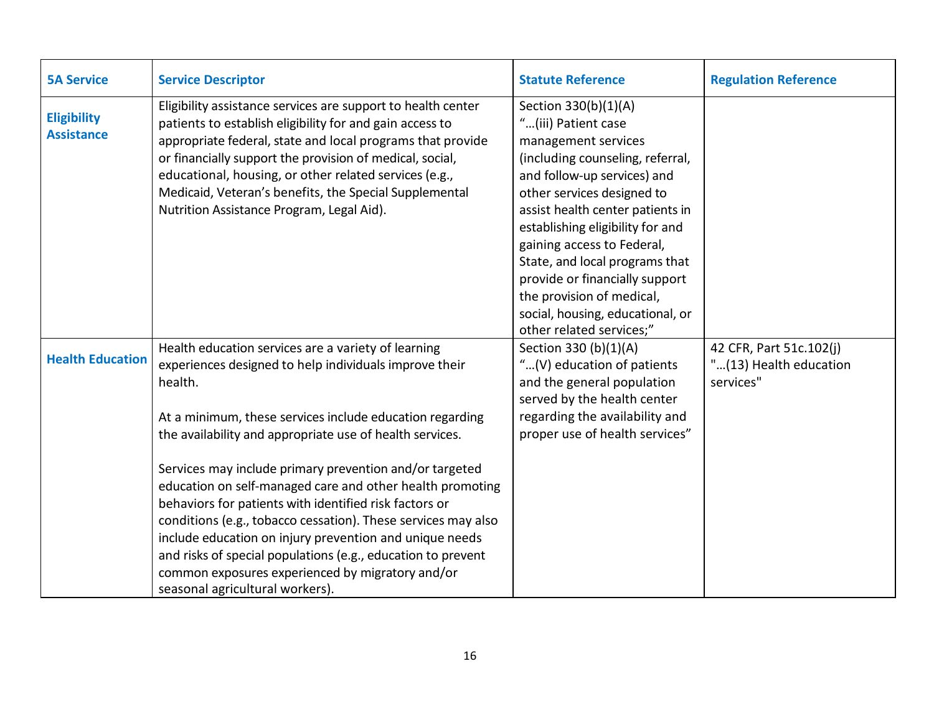<span id="page-15-1"></span><span id="page-15-0"></span>

| <b>5A Service</b>                       | <b>Service Descriptor</b>                                                                                                                                                                                                                                                                                                                                                                                                                                                                                                                                                                                                                                                                                             | <b>Statute Reference</b>                                                                                                                                                                                                                                                                                                                                                                                                                   | <b>Regulation Reference</b>                                    |
|-----------------------------------------|-----------------------------------------------------------------------------------------------------------------------------------------------------------------------------------------------------------------------------------------------------------------------------------------------------------------------------------------------------------------------------------------------------------------------------------------------------------------------------------------------------------------------------------------------------------------------------------------------------------------------------------------------------------------------------------------------------------------------|--------------------------------------------------------------------------------------------------------------------------------------------------------------------------------------------------------------------------------------------------------------------------------------------------------------------------------------------------------------------------------------------------------------------------------------------|----------------------------------------------------------------|
| <b>Eligibility</b><br><b>Assistance</b> | Eligibility assistance services are support to health center<br>patients to establish eligibility for and gain access to<br>appropriate federal, state and local programs that provide<br>or financially support the provision of medical, social,<br>educational, housing, or other related services (e.g.,<br>Medicaid, Veteran's benefits, the Special Supplemental<br>Nutrition Assistance Program, Legal Aid).                                                                                                                                                                                                                                                                                                   | Section 330(b)(1)(A)<br>"(iii) Patient case<br>management services<br>(including counseling, referral,<br>and follow-up services) and<br>other services designed to<br>assist health center patients in<br>establishing eligibility for and<br>gaining access to Federal,<br>State, and local programs that<br>provide or financially support<br>the provision of medical,<br>social, housing, educational, or<br>other related services;" |                                                                |
| <b>Health Education</b>                 | Health education services are a variety of learning<br>experiences designed to help individuals improve their<br>health.<br>At a minimum, these services include education regarding<br>the availability and appropriate use of health services.<br>Services may include primary prevention and/or targeted<br>education on self-managed care and other health promoting<br>behaviors for patients with identified risk factors or<br>conditions (e.g., tobacco cessation). These services may also<br>include education on injury prevention and unique needs<br>and risks of special populations (e.g., education to prevent<br>common exposures experienced by migratory and/or<br>seasonal agricultural workers). | Section 330 (b)(1)(A)<br>"(V) education of patients<br>and the general population<br>served by the health center<br>regarding the availability and<br>proper use of health services"                                                                                                                                                                                                                                                       | 42 CFR, Part 51c.102(j)<br>"(13) Health education<br>services" |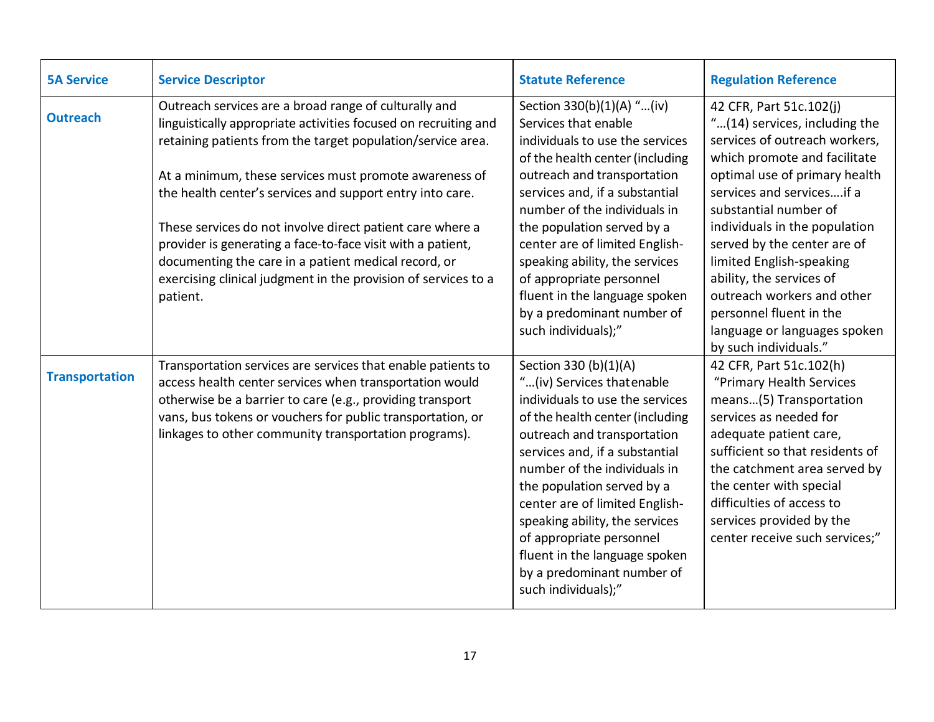<span id="page-16-1"></span><span id="page-16-0"></span>

| <b>5A Service</b>     | <b>Service Descriptor</b>                                                                                                                                                                                                                                                                                                                                                                                                                                                                                                                                                        | <b>Statute Reference</b>                                                                                                                                                                                                                                                                                                                                                                                                                       | <b>Regulation Reference</b>                                                                                                                                                                                                                                                                                                                                                                                                                                |
|-----------------------|----------------------------------------------------------------------------------------------------------------------------------------------------------------------------------------------------------------------------------------------------------------------------------------------------------------------------------------------------------------------------------------------------------------------------------------------------------------------------------------------------------------------------------------------------------------------------------|------------------------------------------------------------------------------------------------------------------------------------------------------------------------------------------------------------------------------------------------------------------------------------------------------------------------------------------------------------------------------------------------------------------------------------------------|------------------------------------------------------------------------------------------------------------------------------------------------------------------------------------------------------------------------------------------------------------------------------------------------------------------------------------------------------------------------------------------------------------------------------------------------------------|
| <b>Outreach</b>       | Outreach services are a broad range of culturally and<br>linguistically appropriate activities focused on recruiting and<br>retaining patients from the target population/service area.<br>At a minimum, these services must promote awareness of<br>the health center's services and support entry into care.<br>These services do not involve direct patient care where a<br>provider is generating a face-to-face visit with a patient,<br>documenting the care in a patient medical record, or<br>exercising clinical judgment in the provision of services to a<br>patient. | Section 330(b)(1)(A) "(iv)<br>Services that enable<br>individuals to use the services<br>of the health center (including<br>outreach and transportation<br>services and, if a substantial<br>number of the individuals in<br>the population served by a<br>center are of limited English-<br>speaking ability, the services<br>of appropriate personnel<br>fluent in the language spoken<br>by a predominant number of<br>such individuals);"  | 42 CFR, Part 51c.102(j)<br>"(14) services, including the<br>services of outreach workers,<br>which promote and facilitate<br>optimal use of primary health<br>services and servicesif a<br>substantial number of<br>individuals in the population<br>served by the center are of<br>limited English-speaking<br>ability, the services of<br>outreach workers and other<br>personnel fluent in the<br>language or languages spoken<br>by such individuals." |
| <b>Transportation</b> | Transportation services are services that enable patients to<br>access health center services when transportation would<br>otherwise be a barrier to care (e.g., providing transport<br>vans, bus tokens or vouchers for public transportation, or<br>linkages to other community transportation programs).                                                                                                                                                                                                                                                                      | Section 330 (b)(1)(A)<br>"(iv) Services that enable<br>individuals to use the services<br>of the health center (including<br>outreach and transportation<br>services and, if a substantial<br>number of the individuals in<br>the population served by a<br>center are of limited English-<br>speaking ability, the services<br>of appropriate personnel<br>fluent in the language spoken<br>by a predominant number of<br>such individuals);" | 42 CFR, Part 51c.102(h)<br>"Primary Health Services<br>means(5) Transportation<br>services as needed for<br>adequate patient care,<br>sufficient so that residents of<br>the catchment area served by<br>the center with special<br>difficulties of access to<br>services provided by the<br>center receive such services;"                                                                                                                                |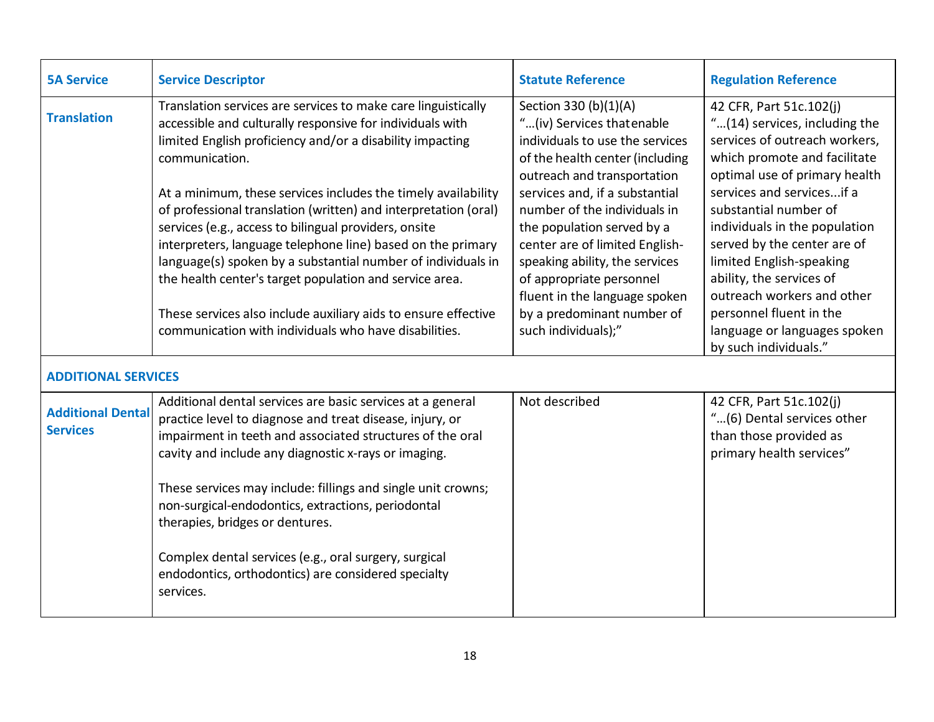<span id="page-17-2"></span><span id="page-17-1"></span><span id="page-17-0"></span>

| <b>5A Service</b>                           | <b>Service Descriptor</b>                                                                                                                                                                                                                                                                                                                                                                                                                                                                                                                                                                                                                                                                                                   | <b>Statute Reference</b>                                                                                                                                                                                                                                                                                                                                                                                                                       | <b>Regulation Reference</b>                                                                                                                                                                                                                                                                                                                                                                                                       |
|---------------------------------------------|-----------------------------------------------------------------------------------------------------------------------------------------------------------------------------------------------------------------------------------------------------------------------------------------------------------------------------------------------------------------------------------------------------------------------------------------------------------------------------------------------------------------------------------------------------------------------------------------------------------------------------------------------------------------------------------------------------------------------------|------------------------------------------------------------------------------------------------------------------------------------------------------------------------------------------------------------------------------------------------------------------------------------------------------------------------------------------------------------------------------------------------------------------------------------------------|-----------------------------------------------------------------------------------------------------------------------------------------------------------------------------------------------------------------------------------------------------------------------------------------------------------------------------------------------------------------------------------------------------------------------------------|
| <b>Translation</b>                          | Translation services are services to make care linguistically<br>accessible and culturally responsive for individuals with<br>limited English proficiency and/or a disability impacting<br>communication.<br>At a minimum, these services includes the timely availability<br>of professional translation (written) and interpretation (oral)<br>services (e.g., access to bilingual providers, onsite<br>interpreters, language telephone line) based on the primary<br>language(s) spoken by a substantial number of individuals in<br>the health center's target population and service area.<br>These services also include auxiliary aids to ensure effective<br>communication with individuals who have disabilities. | Section 330 (b)(1)(A)<br>"(iv) Services that enable<br>individuals to use the services<br>of the health center (including<br>outreach and transportation<br>services and, if a substantial<br>number of the individuals in<br>the population served by a<br>center are of limited English-<br>speaking ability, the services<br>of appropriate personnel<br>fluent in the language spoken<br>by a predominant number of<br>such individuals);" | 42 CFR, Part 51c.102(j)<br>"(14) services, including the<br>services of outreach workers,<br>which promote and facilitate<br>optimal use of primary health<br>services and servicesif a<br>substantial number of<br>individuals in the population<br>served by the center are of<br>limited English-speaking<br>ability, the services of<br>outreach workers and other<br>personnel fluent in the<br>language or languages spoken |
| <b>ADDITIONAL SERVICES</b>                  |                                                                                                                                                                                                                                                                                                                                                                                                                                                                                                                                                                                                                                                                                                                             |                                                                                                                                                                                                                                                                                                                                                                                                                                                | by such individuals."                                                                                                                                                                                                                                                                                                                                                                                                             |
| <b>Additional Dental</b><br><b>Services</b> | Additional dental services are basic services at a general<br>practice level to diagnose and treat disease, injury, or<br>impairment in teeth and associated structures of the oral<br>cavity and include any diagnostic x-rays or imaging.<br>These services may include: fillings and single unit crowns;<br>non-surgical-endodontics, extractions, periodontal<br>therapies, bridges or dentures.<br>Complex dental services (e.g., oral surgery, surgical<br>endodontics, orthodontics) are considered specialty<br>services.                                                                                                                                                                                           | Not described                                                                                                                                                                                                                                                                                                                                                                                                                                  | 42 CFR, Part 51c.102(j)<br>"(6) Dental services other<br>than those provided as<br>primary health services"                                                                                                                                                                                                                                                                                                                       |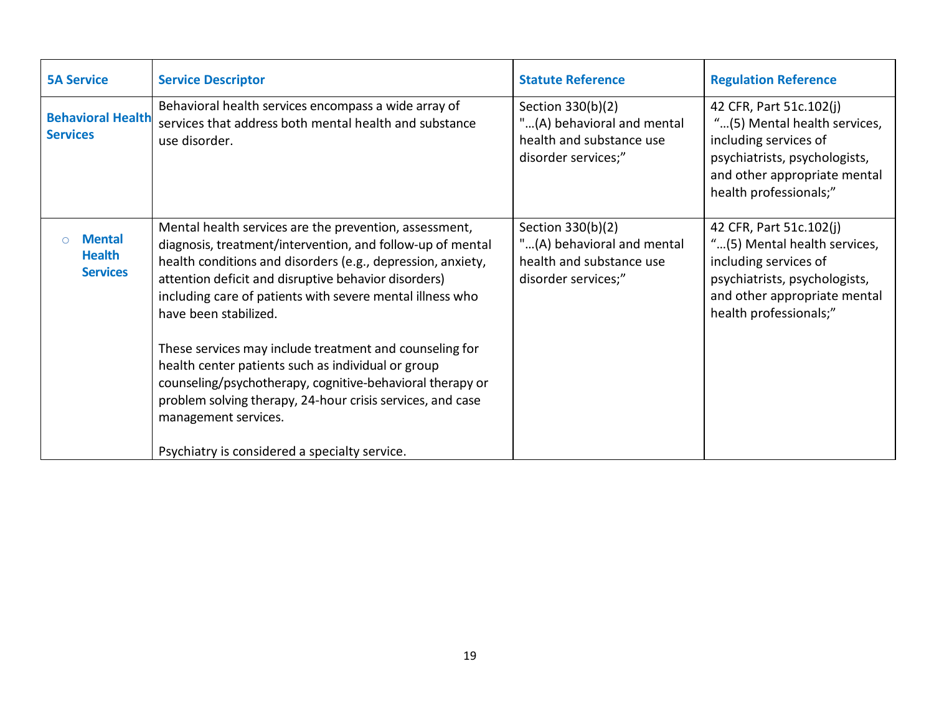<span id="page-18-1"></span><span id="page-18-0"></span>

| <b>5A Service</b>                                 | <b>Service Descriptor</b>                                                                                                                                                                                                                                                                                                                                                                                                                                                                                                                                                                             | <b>Statute Reference</b>                                                                           | <b>Regulation Reference</b>                                                                                                                                                 |
|---------------------------------------------------|-------------------------------------------------------------------------------------------------------------------------------------------------------------------------------------------------------------------------------------------------------------------------------------------------------------------------------------------------------------------------------------------------------------------------------------------------------------------------------------------------------------------------------------------------------------------------------------------------------|----------------------------------------------------------------------------------------------------|-----------------------------------------------------------------------------------------------------------------------------------------------------------------------------|
| <b>Behavioral Health</b><br><b>Services</b>       | Behavioral health services encompass a wide array of<br>services that address both mental health and substance<br>use disorder.                                                                                                                                                                                                                                                                                                                                                                                                                                                                       | Section 330(b)(2)<br>"(A) behavioral and mental<br>health and substance use<br>disorder services;" | 42 CFR, Part 51c.102(j)<br>"(5) Mental health services,<br>including services of<br>psychiatrists, psychologists,<br>and other appropriate mental<br>health professionals;" |
| <b>Mental</b><br><b>Health</b><br><b>Services</b> | Mental health services are the prevention, assessment,<br>diagnosis, treatment/intervention, and follow-up of mental<br>health conditions and disorders (e.g., depression, anxiety,<br>attention deficit and disruptive behavior disorders)<br>including care of patients with severe mental illness who<br>have been stabilized.<br>These services may include treatment and counseling for<br>health center patients such as individual or group<br>counseling/psychotherapy, cognitive-behavioral therapy or<br>problem solving therapy, 24-hour crisis services, and case<br>management services. | Section 330(b)(2)<br>"(A) behavioral and mental<br>health and substance use<br>disorder services;" | 42 CFR, Part 51c.102(j)<br>"(5) Mental health services,<br>including services of<br>psychiatrists, psychologists,<br>and other appropriate mental<br>health professionals;" |
|                                                   | Psychiatry is considered a specialty service.                                                                                                                                                                                                                                                                                                                                                                                                                                                                                                                                                         |                                                                                                    |                                                                                                                                                                             |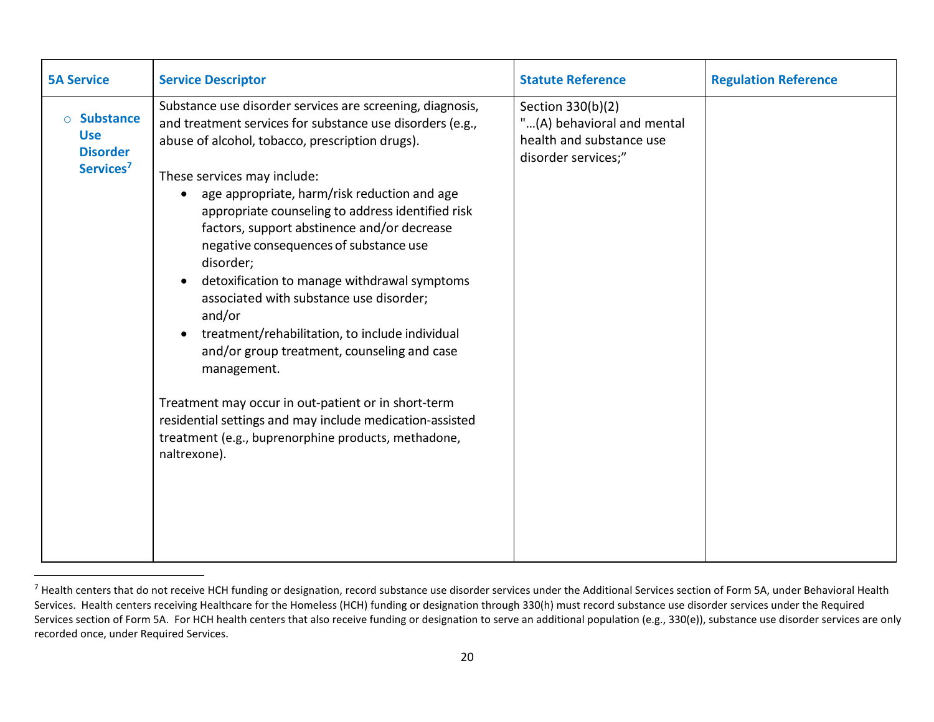<span id="page-19-0"></span>

| <b>5A Service</b>                                                                     | <b>Service Descriptor</b>                                                                                                                                                                                                                                                                                                                                                                                                                                                                                                                                                                                                                                                                                                                                                                                                                                     | <b>Statute Reference</b>                                                                           | <b>Regulation Reference</b> |
|---------------------------------------------------------------------------------------|---------------------------------------------------------------------------------------------------------------------------------------------------------------------------------------------------------------------------------------------------------------------------------------------------------------------------------------------------------------------------------------------------------------------------------------------------------------------------------------------------------------------------------------------------------------------------------------------------------------------------------------------------------------------------------------------------------------------------------------------------------------------------------------------------------------------------------------------------------------|----------------------------------------------------------------------------------------------------|-----------------------------|
| <b>Substance</b><br>$\circ$<br><b>Use</b><br><b>Disorder</b><br>Services <sup>7</sup> | Substance use disorder services are screening, diagnosis,<br>and treatment services for substance use disorders (e.g.,<br>abuse of alcohol, tobacco, prescription drugs).<br>These services may include:<br>age appropriate, harm/risk reduction and age<br>$\bullet$<br>appropriate counseling to address identified risk<br>factors, support abstinence and/or decrease<br>negative consequences of substance use<br>disorder;<br>detoxification to manage withdrawal symptoms<br>associated with substance use disorder;<br>and/or<br>treatment/rehabilitation, to include individual<br>$\bullet$<br>and/or group treatment, counseling and case<br>management.<br>Treatment may occur in out-patient or in short-term<br>residential settings and may include medication-assisted<br>treatment (e.g., buprenorphine products, methadone,<br>naltrexone). | Section 330(b)(2)<br>"(A) behavioral and mental<br>health and substance use<br>disorder services;" |                             |

<sup>&</sup>lt;sup>7</sup> Health centers that do not receive HCH funding or designation, record substance use disorder services under the Additional Services section of Form 5A, under Behavioral Health Services. Health centers receiving Healthcare for the Homeless (HCH) funding or designation through 330(h) must record substance use disorder services under the Required Services section of Form 5A. For HCH health centers that also receive funding or designation to serve an additional population (e.g., 330(e)), substance use disorder services are only recorded once, under Required Services.

 $\overline{a}$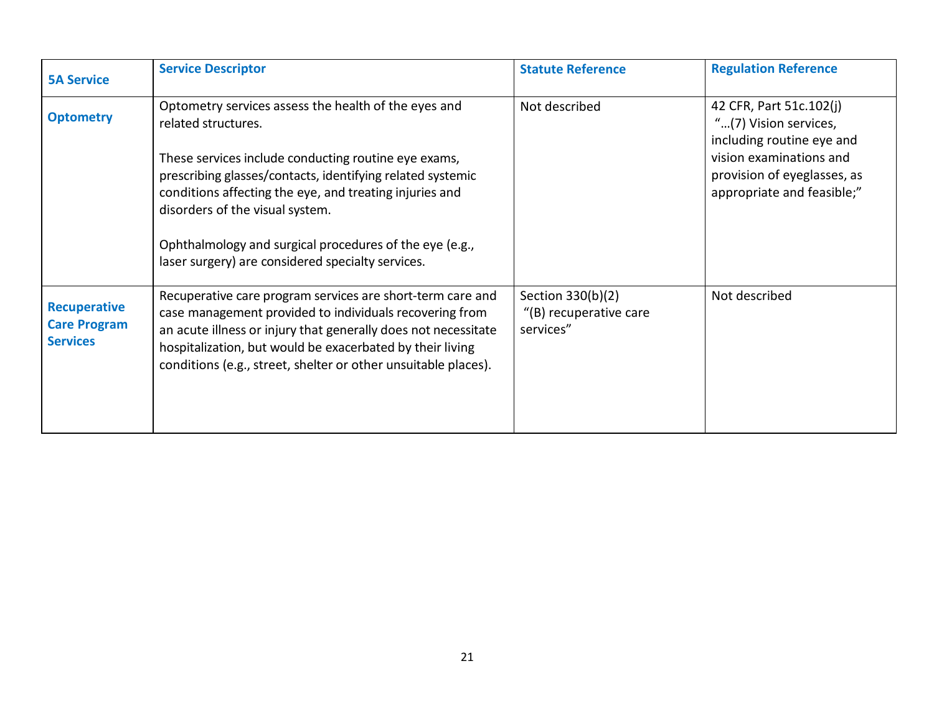<span id="page-20-1"></span><span id="page-20-0"></span>

| <b>5A Service</b>                                             | <b>Service Descriptor</b>                                                                                                                                                                                                                                                                                                                                                                                       | <b>Statute Reference</b>                                 | <b>Regulation Reference</b>                                                                                                                                           |
|---------------------------------------------------------------|-----------------------------------------------------------------------------------------------------------------------------------------------------------------------------------------------------------------------------------------------------------------------------------------------------------------------------------------------------------------------------------------------------------------|----------------------------------------------------------|-----------------------------------------------------------------------------------------------------------------------------------------------------------------------|
| <b>Optometry</b>                                              | Optometry services assess the health of the eyes and<br>related structures.<br>These services include conducting routine eye exams,<br>prescribing glasses/contacts, identifying related systemic<br>conditions affecting the eye, and treating injuries and<br>disorders of the visual system.<br>Ophthalmology and surgical procedures of the eye (e.g.,<br>laser surgery) are considered specialty services. | Not described                                            | 42 CFR, Part 51c.102(j)<br>"(7) Vision services,<br>including routine eye and<br>vision examinations and<br>provision of eyeglasses, as<br>appropriate and feasible;" |
| <b>Recuperative</b><br><b>Care Program</b><br><b>Services</b> | Recuperative care program services are short-term care and<br>case management provided to individuals recovering from<br>an acute illness or injury that generally does not necessitate<br>hospitalization, but would be exacerbated by their living<br>conditions (e.g., street, shelter or other unsuitable places).                                                                                          | Section 330(b)(2)<br>"(B) recuperative care<br>services" | Not described                                                                                                                                                         |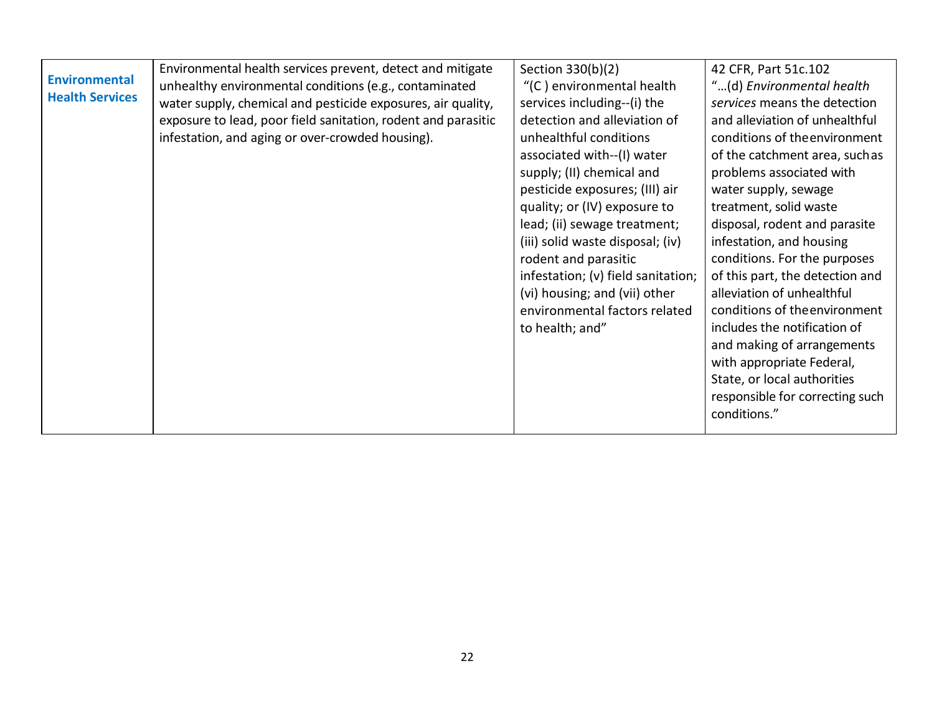<span id="page-21-0"></span>

| <b>Environmental</b>   | Environmental health services prevent, detect and mitigate    | Section 330(b)(2)                  | 42 CFR, Part 51c.102            |
|------------------------|---------------------------------------------------------------|------------------------------------|---------------------------------|
|                        | unhealthy environmental conditions (e.g., contaminated        | "(C) environmental health          | "(d) Environmental health       |
| <b>Health Services</b> | water supply, chemical and pesticide exposures, air quality,  | services including--(i) the        | services means the detection    |
|                        | exposure to lead, poor field sanitation, rodent and parasitic | detection and alleviation of       | and alleviation of unhealthful  |
|                        | infestation, and aging or over-crowded housing).              | unhealthful conditions             | conditions of the environment   |
|                        |                                                               | associated with--(I) water         | of the catchment area, suchas   |
|                        |                                                               | supply; (II) chemical and          | problems associated with        |
|                        |                                                               | pesticide exposures; (III) air     | water supply, sewage            |
|                        |                                                               | quality; or (IV) exposure to       | treatment, solid waste          |
|                        |                                                               | lead; (ii) sewage treatment;       | disposal, rodent and parasite   |
|                        |                                                               | (iii) solid waste disposal; (iv)   | infestation, and housing        |
|                        |                                                               | rodent and parasitic               | conditions. For the purposes    |
|                        |                                                               | infestation; (v) field sanitation; | of this part, the detection and |
|                        |                                                               | (vi) housing; and (vii) other      | alleviation of unhealthful      |
|                        |                                                               | environmental factors related      | conditions of the environment   |
|                        |                                                               | to health; and"                    | includes the notification of    |
|                        |                                                               |                                    | and making of arrangements      |
|                        |                                                               |                                    | with appropriate Federal,       |
|                        |                                                               |                                    | State, or local authorities     |
|                        |                                                               |                                    | responsible for correcting such |
|                        |                                                               |                                    | conditions."                    |
|                        |                                                               |                                    |                                 |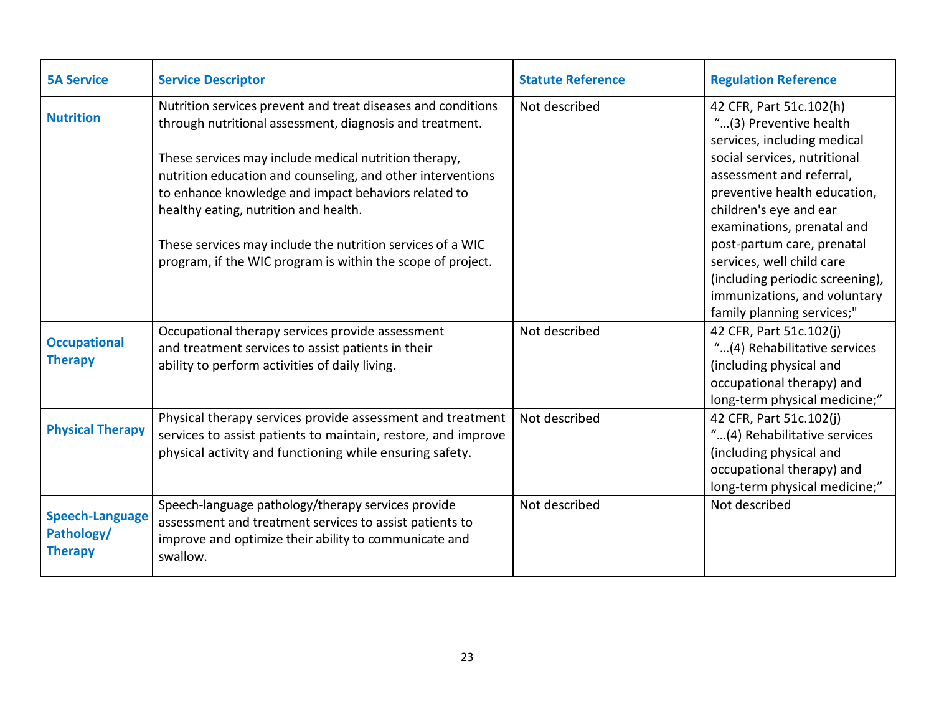<span id="page-22-3"></span><span id="page-22-2"></span><span id="page-22-1"></span><span id="page-22-0"></span>

| <b>5A Service</b>                                      | <b>Service Descriptor</b>                                                                                                                                                                                                                                                                                                                                                                                                                                                      | <b>Statute Reference</b> | <b>Regulation Reference</b>                                                                                                                                                                                                                                                                                                                                                                      |
|--------------------------------------------------------|--------------------------------------------------------------------------------------------------------------------------------------------------------------------------------------------------------------------------------------------------------------------------------------------------------------------------------------------------------------------------------------------------------------------------------------------------------------------------------|--------------------------|--------------------------------------------------------------------------------------------------------------------------------------------------------------------------------------------------------------------------------------------------------------------------------------------------------------------------------------------------------------------------------------------------|
| <b>Nutrition</b>                                       | Nutrition services prevent and treat diseases and conditions<br>through nutritional assessment, diagnosis and treatment.<br>These services may include medical nutrition therapy,<br>nutrition education and counseling, and other interventions<br>to enhance knowledge and impact behaviors related to<br>healthy eating, nutrition and health.<br>These services may include the nutrition services of a WIC<br>program, if the WIC program is within the scope of project. | Not described            | 42 CFR, Part 51c.102(h)<br>"(3) Preventive health<br>services, including medical<br>social services, nutritional<br>assessment and referral,<br>preventive health education,<br>children's eye and ear<br>examinations, prenatal and<br>post-partum care, prenatal<br>services, well child care<br>(including periodic screening),<br>immunizations, and voluntary<br>family planning services;" |
| <b>Occupational</b><br><b>Therapy</b>                  | Occupational therapy services provide assessment<br>and treatment services to assist patients in their<br>ability to perform activities of daily living.                                                                                                                                                                                                                                                                                                                       | Not described            | 42 CFR, Part 51c.102(j)<br>"(4) Rehabilitative services<br>(including physical and<br>occupational therapy) and<br>long-term physical medicine;"                                                                                                                                                                                                                                                 |
| <b>Physical Therapy</b>                                | Physical therapy services provide assessment and treatment<br>services to assist patients to maintain, restore, and improve<br>physical activity and functioning while ensuring safety.                                                                                                                                                                                                                                                                                        | Not described            | 42 CFR, Part 51c.102(j)<br>"(4) Rehabilitative services<br>(including physical and<br>occupational therapy) and<br>long-term physical medicine;"                                                                                                                                                                                                                                                 |
| <b>Speech-Language</b><br>Pathology/<br><b>Therapy</b> | Speech-language pathology/therapy services provide<br>assessment and treatment services to assist patients to<br>improve and optimize their ability to communicate and<br>swallow.                                                                                                                                                                                                                                                                                             | Not described            | Not described                                                                                                                                                                                                                                                                                                                                                                                    |